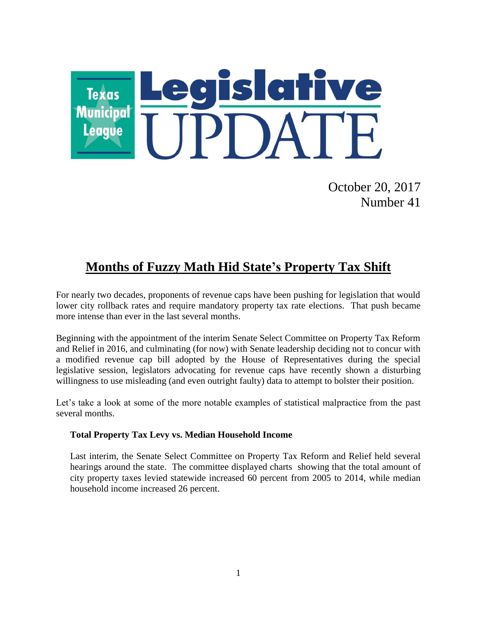

October 20, 2017 Number 41

## **Months of Fuzzy Math Hid State's Property Tax Shift**

For nearly two decades, proponents of revenue caps have been pushing for legislation that would lower city rollback rates and require mandatory property tax rate elections. That push became more intense than ever in the last several months.

Beginning with the appointment of the interim Senate Select Committee on Property Tax Reform and Relief in 2016, and culminating (for now) with Senate leadership deciding not to concur with a modified revenue cap bill adopted by the House of Representatives during the special legislative session, legislators advocating for revenue caps have recently shown a disturbing willingness to use misleading (and even outright faulty) data to attempt to bolster their position.

Let's take a look at some of the more notable examples of statistical malpractice from the past several months.

#### **Total Property Tax Levy vs. Median Household Income**

Last interim, the Senate Select Committee on Property Tax Reform and Relief held several hearings around the state. The committee displayed charts showing that the total amount of city property taxes levied statewide increased 60 percent from 2005 to 2014, while median household income increased 26 percent.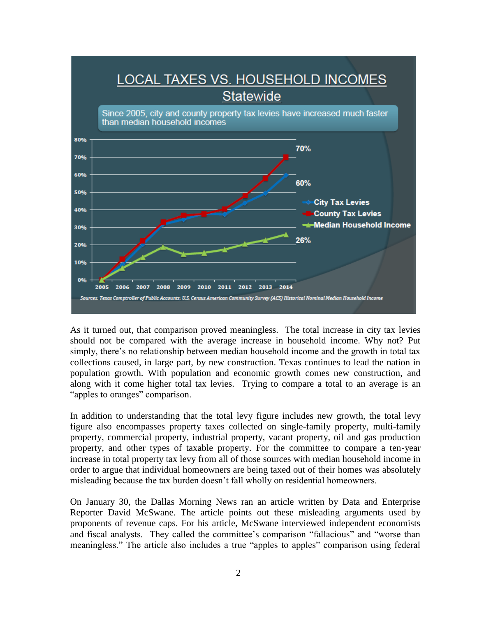

As it turned out, that comparison proved meaningless. The total increase in city tax levies should not be compared with the average increase in household income. Why not? Put simply, there's no relationship between median household income and the growth in total tax collections caused, in large part, by new construction. Texas continues to lead the nation in population growth. With population and economic growth comes new construction, and along with it come higher total tax levies. Trying to compare a total to an average is an "apples to oranges" comparison.

In addition to understanding that the total levy figure includes new growth, the total levy figure also encompasses property taxes collected on single-family property, multi-family property, commercial property, industrial property, vacant property, oil and gas production property, and other types of taxable property. For the committee to compare a ten-year increase in total property tax levy from all of those sources with median household income in order to argue that individual homeowners are being taxed out of their homes was absolutely misleading because the tax burden doesn't fall wholly on residential homeowners.

On January 30, the Dallas Morning News ran an article written by Data and Enterprise Reporter David McSwane. The article points out these misleading arguments used by proponents of revenue caps. For his article, McSwane interviewed independent economists and fiscal analysts. They called the committee's comparison "fallacious" and "worse than meaningless." The article also includes a true "apples to apples" comparison using federal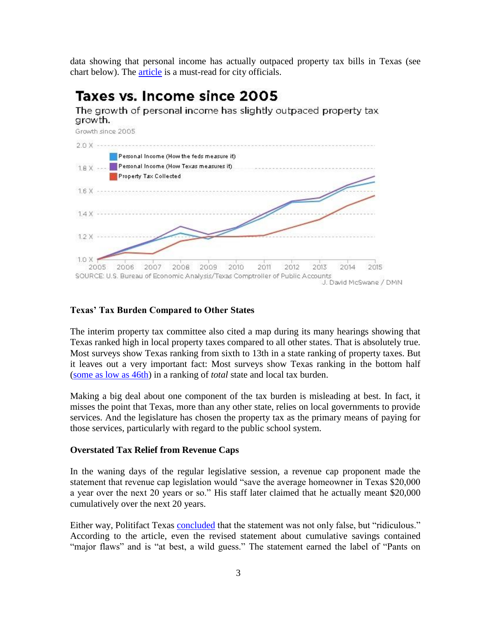data showing that personal income has actually outpaced property tax bills in Texas (see chart below). The [article](https://www.dallasnews.com/news/texas-legislature/2017/01/30/misleading-stats-fuel-republicans-effort-cap-local-property-taxes) is a must-read for city officials.

# Taxes vs. Income since 2005

The growth of personal income has slightly outpaced property tax growth.



#### **Texas' Tax Burden Compared to Other States**

The interim property tax committee also cited a map during its many hearings showing that Texas ranked high in local property taxes compared to all other states. That is absolutely true. Most surveys show Texas ranking from sixth to 13th in a state ranking of property taxes. But it leaves out a very important fact: Most surveys show Texas ranking in the bottom half [\(some as low as 46th\)](https://files.taxfoundation.org/legacy/docs/State-Local_Tax_Burden_FY2012.pdf) in a ranking of *total* state and local tax burden.

Making a big deal about one component of the tax burden is misleading at best. In fact, it misses the point that Texas, more than any other state, relies on local governments to provide services. And the legislature has chosen the property tax as the primary means of paying for those services, particularly with regard to the public school system.

#### **Overstated Tax Relief from Revenue Caps**

In the waning days of the regular legislative session, a revenue cap proponent made the statement that revenue cap legislation would "save the average homeowner in Texas \$20,000 a year over the next 20 years or so." His staff later claimed that he actually meant \$20,000 cumulatively over the next 20 years.

Either way, Politifact Texas [concluded](http://www.politifact.com/texas/statements/2017/may/23/dan-patrick/dan-patricks-20000-tax-savings-claim-proves-incorr/) that the statement was not only false, but "ridiculous." According to the article, even the revised statement about cumulative savings contained "major flaws" and is "at best, a wild guess." The statement earned the label of "Pants on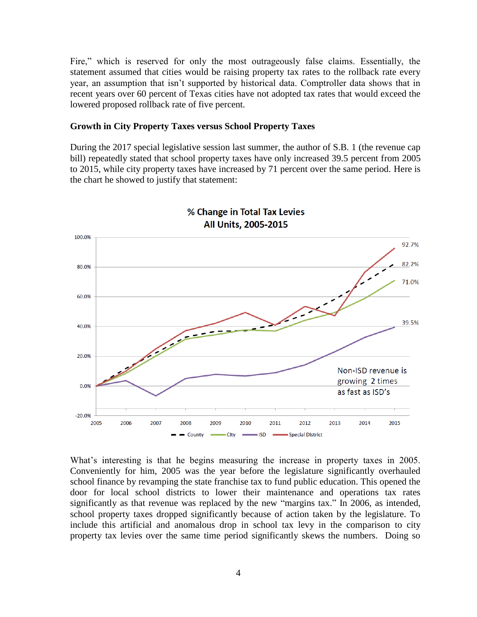Fire," which is reserved for only the most outrageously false claims. Essentially, the statement assumed that cities would be raising property tax rates to the rollback rate every year, an assumption that isn't supported by historical data. Comptroller data shows that in recent years over 60 percent of Texas cities have not adopted tax rates that would exceed the lowered proposed rollback rate of five percent.

#### **Growth in City Property Taxes versus School Property Taxes**

During the 2017 special legislative session last summer, the author of S.B. 1 (the revenue cap bill) repeatedly stated that school property taxes have only increased 39.5 percent from 2005 to 2015, while city property taxes have increased by 71 percent over the same period. Here is the chart he showed to justify that statement:



% Change in Total Tax Levies All Units, 2005-2015

What's interesting is that he begins measuring the increase in property taxes in 2005. Conveniently for him, 2005 was the year before the legislature significantly overhauled school finance by revamping the state franchise tax to fund public education. This opened the door for local school districts to lower their maintenance and operations tax rates significantly as that revenue was replaced by the new "margins tax." In 2006, as intended, school property taxes dropped significantly because of action taken by the legislature. To include this artificial and anomalous drop in school tax levy in the comparison to city property tax levies over the same time period significantly skews the numbers. Doing so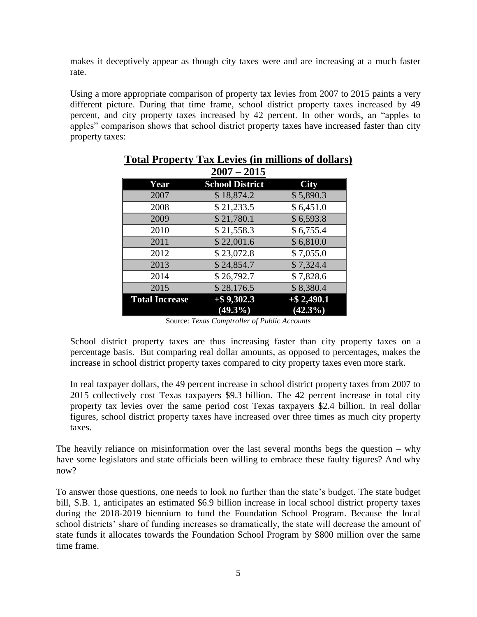makes it deceptively appear as though city taxes were and are increasing at a much faster rate.

Using a more appropriate comparison of property tax levies from 2007 to 2015 paints a very different picture. During that time frame, school district property taxes increased by 49 percent, and city property taxes increased by 42 percent. In other words, an "apples to apples" comparison shows that school district property taxes have increased faster than city property taxes:

|                       | $2007 - 2015$          |               |
|-----------------------|------------------------|---------------|
| Year                  | <b>School District</b> | <b>City</b>   |
| 2007                  | \$18,874.2             | \$5,890.3     |
| 2008                  | \$21,233.5             | \$6,451.0     |
| 2009                  | \$21,780.1             | \$6,593.8     |
| 2010                  | \$21,558.3             | \$6,755.4     |
| 2011                  | \$22,001.6             | \$6,810.0     |
| 2012                  | \$23,072.8             | \$7,055.0     |
| 2013                  | \$24,854.7             | \$7,324.4     |
| 2014                  | \$26,792.7             | \$7,828.6     |
| 2015                  | \$28,176.5             | \$8,380.4     |
| <b>Total Increase</b> | $+$ \$9,302.3          | $+$ \$2,490.1 |
|                       | $(49.3\sqrt{6})$       | $(42.3\%)$    |

### **Total Property Tax Levies (in millions of dollars)**

Source: *Texas Comptroller of Public Accounts*

School district property taxes are thus increasing faster than city property taxes on a percentage basis. But comparing real dollar amounts, as opposed to percentages, makes the increase in school district property taxes compared to city property taxes even more stark.

In real taxpayer dollars, the 49 percent increase in school district property taxes from 2007 to 2015 collectively cost Texas taxpayers \$9.3 billion. The 42 percent increase in total city property tax levies over the same period cost Texas taxpayers \$2.4 billion. In real dollar figures, school district property taxes have increased over three times as much city property taxes.

The heavily reliance on misinformation over the last several months begs the question – why have some legislators and state officials been willing to embrace these faulty figures? And why now?

To answer those questions, one needs to look no further than the state's budget. The state budget bill, S.B. 1, anticipates an estimated \$6.9 billion increase in local school district property taxes during the 2018-2019 biennium to fund the Foundation School Program. Because the local school districts' share of funding increases so dramatically, the state will decrease the amount of state funds it allocates towards the Foundation School Program by \$800 million over the same time frame.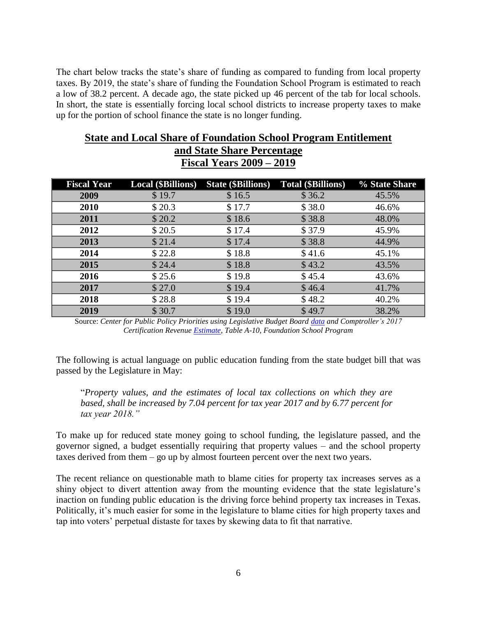The chart below tracks the state's share of funding as compared to funding from local property taxes. By 2019, the state's share of funding the Foundation School Program is estimated to reach a low of 38.2 percent. A decade ago, the state picked up 46 percent of the tab for local schools. In short, the state is essentially forcing local school districts to increase property taxes to make up for the portion of school finance the state is no longer funding.

### **State and Local Share of Foundation School Program Entitlement and State Share Percentage Fiscal Years 2009 – 2019**

| <b>Fiscal Year</b> | <b>Local (\$Billions)</b> | <b>State (\$Billions)</b> | <b>Total (\$Billions)</b> | % State Share |
|--------------------|---------------------------|---------------------------|---------------------------|---------------|
| 2009               | \$19.7                    | \$16.5                    | \$36.2                    | 45.5%         |
| 2010               | \$20.3                    | \$17.7                    | \$38.0                    | 46.6%         |
| 2011               | \$20.2                    | \$18.6                    | \$38.8                    | 48.0%         |
| 2012               | \$20.5                    | \$17.4                    | \$37.9                    | 45.9%         |
| 2013               | \$21.4                    | \$17.4                    | \$38.8                    | 44.9%         |
| 2014               | \$22.8                    | \$18.8                    | \$41.6                    | 45.1%         |
| 2015               | \$24.4                    | \$18.8                    | \$43.2                    | 43.5%         |
| 2016               | \$25.6                    | \$19.8                    | \$45.4                    | 43.6%         |
| 2017               | \$27.0                    | \$19.4                    | \$46.4                    | 41.7%         |
| 2018               | \$28.8                    | \$19.4                    | \$48.2                    | 40.2%         |
| 2019               | \$30.7                    | \$19.0                    | \$49.7                    | 38.2%         |

Source: *Center for Public Policy Priorities using Legislative Budget Board [data](https://public.tableau.com/profile/state.of.texas.lbb#!/vizhome/FoundationSchoolProgramFundingbyMethodofFinanceFiscalYears2004to2017/HistoricalFunding) and Comptroller's 2017 Certification Revenu[e Estimate,](https://comptroller.texas.gov/transparency/reports/certification-revenue-estimate/2018-19/) Table A-10, Foundation School Program*

The following is actual language on public education funding from the state budget bill that was passed by the Legislature in May:

"*Property values, and the estimates of local tax collections on which they are based, shall be increased by 7.04 percent for tax year 2017 and by 6.77 percent for tax year 2018."*

To make up for reduced state money going to school funding, the legislature passed, and the governor signed, a budget essentially requiring that property values – and the school property taxes derived from them – go up by almost fourteen percent over the next two years.

The recent reliance on questionable math to blame cities for property tax increases serves as a shiny object to divert attention away from the mounting evidence that the state legislature's inaction on funding public education is the driving force behind property tax increases in Texas. Politically, it's much easier for some in the legislature to blame cities for high property taxes and tap into voters' perpetual distaste for taxes by skewing data to fit that narrative.